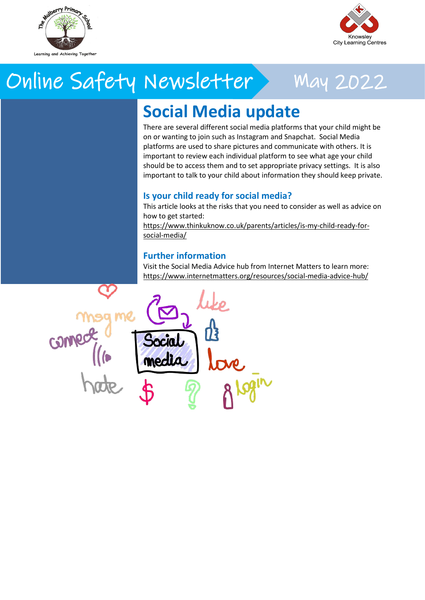

**World Password**

We need to create passwords for everything these days and it is important that our children not only understand that they should not share passwords with others but also that they know how to complete a they know how to complete a they how to complete a they how to complete a they how to change a they how to complete a they how to change a they how to change a they how to change a they how 'strong' password to keep their information safe. As part of World Password Day, why not take the opportunity to talk to your child about

this? You can learn more here: [https://www.connectsafely.org/pass](https://www.connectsafely.org/passwords/)

**th May 2022**



## Online Safety Newsletter May 2022

### **Social Media update**

There are several different social media platforms that your child might be on or wanting to join such as Instagram and Snapchat. Social Media platforms are used to share pictures and communicate with others. It is important to review each individual platform to see what age your child should be to access them and to set appropriate privacy settings. It is also important to talk to your child about information they should keep private.

#### **Is your child ready for social media?**

This article looks at the risks that you need to consider as well as advice on how to get started:

[https://www.thinkuknow.co.uk/parents/articles/is-my-child-ready-for](https://www.thinkuknow.co.uk/parents/articles/is-my-child-ready-for-social-media/)[social-media/](https://www.thinkuknow.co.uk/parents/articles/is-my-child-ready-for-social-media/)

#### **Further information**

Visit the Social Media Advice hub from Internet Matters to learn more: <https://www.internetmatters.org/resources/social-media-advice-hub/>

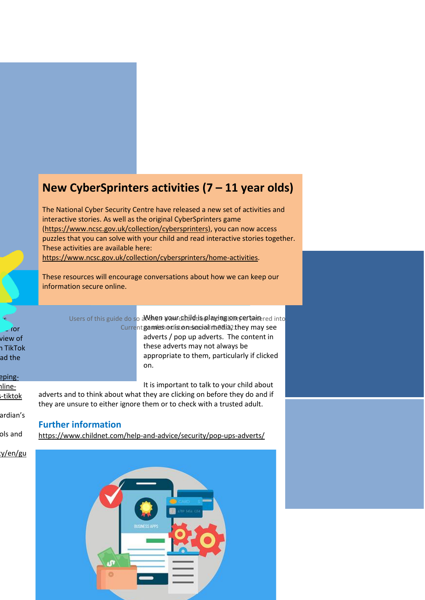### **New CyberSprinters activities (7 – 11 year olds)**

The National Cyber Security Centre have released a new set of activities and interactive stories. As well as the original CyberSprinters game [\(https://www.ncsc.gov.uk/collection/cybersprinters\)](https://www.ncsc.gov.uk/collection/cybersprinters), you can now access puzzles that you can solve with your child and read interactive stories together. These activities are available here:

[https://www.ncsc.gov.uk/collection/cybersprinters/home-activities.](https://www.ncsc.gov.uk/collection/cybersprinters/home-activities)

These resources will encourage conversations about how we can keep our information secure online. information secure online.

adverts and to think about what they are clicking on before they do and if they are unsure to either ignore them or to check with a trusted adult.

 $\mathcal{S}$  $\overline{\phantom{a}}$  for view of n TikTok ad the

Users of this guide do so a When your diletion. Invingion certainered into Current games or list on social media, they may see adverts / pop up adverts. The content in

these adverts may not always be appropriate to them, particularly if clicked on.

**Games from Childline**

Childline have created some online

It is important to talk to your child about

chines-tiktok ardian's

eping-

**Further information**

<https://www.childnet.com/help-and-advice/security/pop-ups-adverts/> ols and

y/en/gu